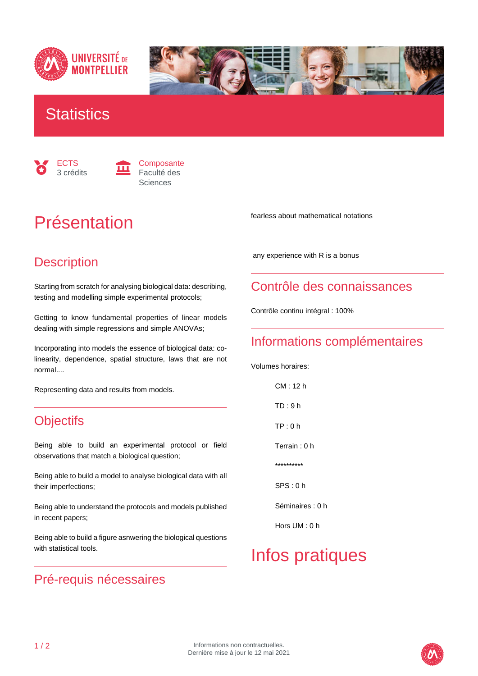



### **Statistics**





# Présentation

#### **Description**

Starting from scratch for analysing biological data: describing, testing and modelling simple experimental protocols;

Getting to know fundamental properties of linear models dealing with simple regressions and simple ANOVAs;

Incorporating into models the essence of biological data: colinearity, dependence, spatial structure, laws that are not normal....

Representing data and results from models.

#### **Objectifs**

Being able to build an experimental protocol or field observations that match a biological question;

Being able to build a model to analyse biological data with all their imperfections;

Being able to understand the protocols and models published in recent papers;

Being able to build a figure asnwering the biological questions with statistical tools.

#### Pré-requis nécessaires

fearless about mathematical notations

any experience with R is a bonus

#### Contrôle des connaissances

Contrôle continu intégral : 100%

#### Informations complémentaires

Volumes horaires:

 CM : 12 h TD : 9 h TP : 0 h Terrain : 0 h \*\*\*\*\*\*\*\*\*\* SPS : 0 h

Séminaires : 0 h

Hors UM : 0 h

# Infos pratiques